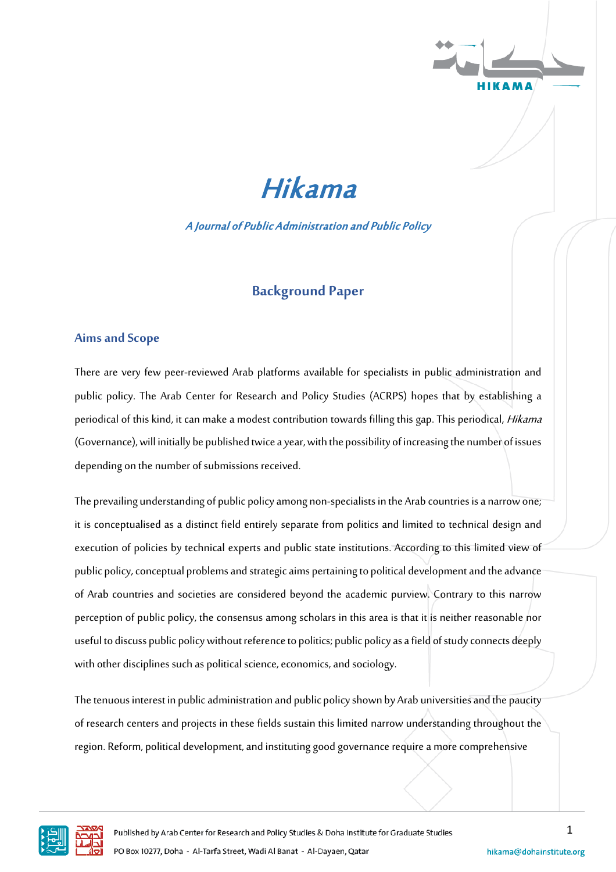



A Journal of Public Administration and Public Policy

# **Background Paper**

## **Aims and Scope**

There are very few peer-reviewed Arab platforms available for specialists in public administration and public policy. The Arab Center for Research and Policy Studies (ACRPS) hopes that by establishing a periodical of this kind, it can make a modest contribution towards filling this gap. This periodical, *Hikama* (Governance), will initially be published twice a year, with the possibility of increasing the number of issues depending on the number of submissions received.

The prevailing understanding of public policyamong non-specialists in the Arab countries is a narrow one; it is conceptualised as a distinct field entirely separate from politics and limited to technical design and execution of policies by technical experts and public state institutions. According to this limited view of public policy, conceptual problems and strategic aims pertaining to political development and the advance of Arab countries and societies are considered beyond the academic purview. Contrary to this narrow perception of public policy, the consensus among scholars in this area is that it is neither reasonable nor useful to discuss public policy without reference to politics; public policy as a field of study connects deeply with other disciplines such as political science, economics, and sociology.

The tenuous interest in public administration and public policyshown by Arab universities and the paucity of research centers and projects in these fields sustain this limited narrow understanding throughout the region. Reform, political development, and instituting good governance require a more comprehensive

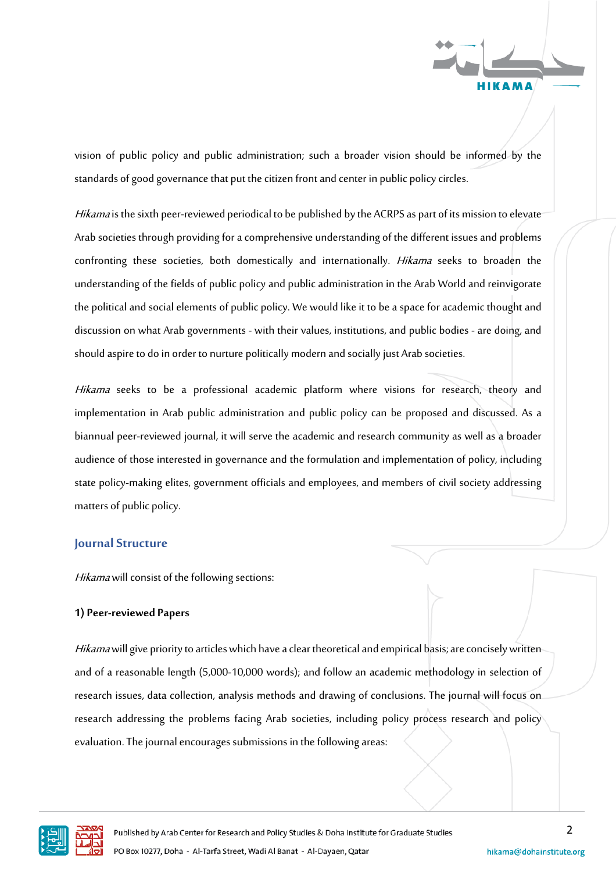

vision of public policy and public administration; such a broader vision should be informed by the standards of good governance that put the citizen front and center in public policy circles.

Hikama is the sixth peer-reviewed periodical to be published by the ACRPS as part of its mission to elevate Arab societies through providing for acomprehensive understanding of the different issues and problems confronting these societies, both domestically and internationally. *Hikama* seeks to broaden the understanding of the fields of public policy and public administration in the Arab World and reinvigorate the political and social elements of public policy. We would like it to be a space for academic thought and discussion on what Arab governments - with their values, institutions, and public bodies - are doing, and should aspire to do in order to nurture politically modern and socially just Arab societies.

Hikama seeks to be a professional academic platform where visions for research, theory and implementation in Arab public administration and public policy can be proposed and discussed. As a biannual peer-reviewed journal, it will serve the academic and research community as well as a broader audience of those interested in governance and the formulation and implementation of policy, including state policy-making elites, government officials and employees, and members of civil society addressing matters of public policy.

### **Journal Structure**

Hikama will consist of the following sections:

### **1) Peer-reviewed Papers**

Hikama will give priority to articles which have a clear theoretical and empirical basis; are concisely written and of a reasonable length (5,000-10,000 words); and follow an academic methodology in selection of research issues, data collection, analysis methods and drawing of conclusions. The journal will focus on research addressing the problems facing Arab societies, including policy process research and policy evaluation. The journal encourages submissions in the following areas:

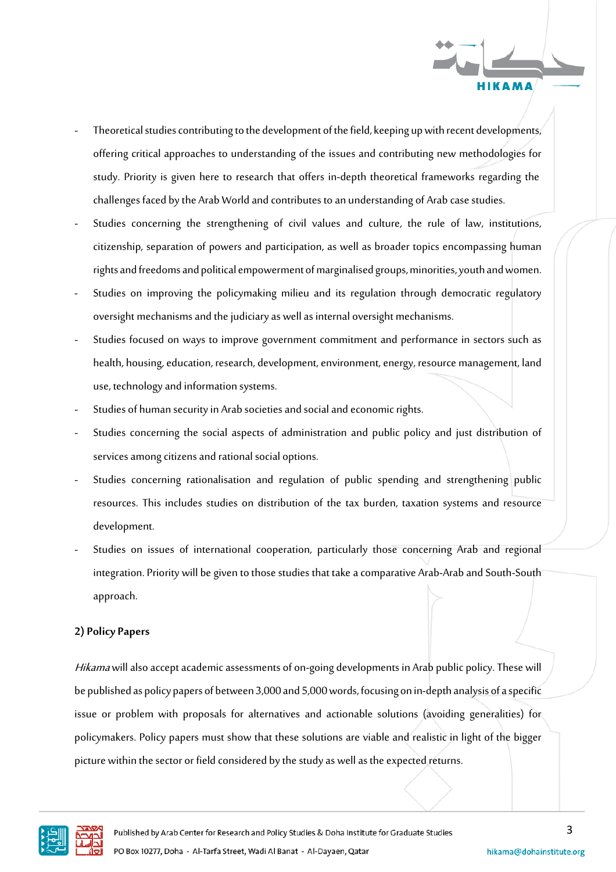

- Theoretical studies contributing to the development of the field, keeping up with recent developments, offering critical approaches to understanding of the issues and contributing new methodologies for study. Priority is given here to research that offers in-depth theoretical frameworks regarding the challenges faced bythe Arab World and contributes to an understanding of Arab casestudies.
- Studies concerning the strengthening of civil values and culture, the rule of law, institutions, citizenship, separation of powers and participation, as well as broader topics encompassing human rights and freedoms and political empowerment of marginalised groups, minorities, youth and women.
- Studies on improving the policymaking milieu and its regulation through democratic regulatory oversight mechanisms and the judiciary as well as internal oversight mechanisms.
- Studies focused on ways to improve government commitment and performance in sectors such as health, housing, education, research, development, environment, energy, resource management, land use, technology and information systems.
- Studies of human security in Arab societies and social and economic rights.
- Studies concerning the social aspects of administration and public policy and just distribution of services among citizens and rational social options.
- Studies concerning rationalisation and regulation of public spending and strengthening public resources. This includes studies on distribution of the tax burden, taxation systems and resource development.
- Studies on issues of international cooperation, particularly those concerning Arab and regional integration. Priority will be given to those studies that take a comparative Arab-Arab and South-South approach.

### **2) Policy Papers**

Hikama will also accept academic assessments of on-going developments in Arab public policy. These will be published as policy papers of between 3,000 and 5,000 words, focusing on in-depth analysis of a specific issue or problem with proposals for alternatives and actionable solutions (avoiding generalities) for policymakers. Policy papers must show that these solutions are viable and realistic in light of the bigger picture within the sector or field considered by the study as well as the expected returns.